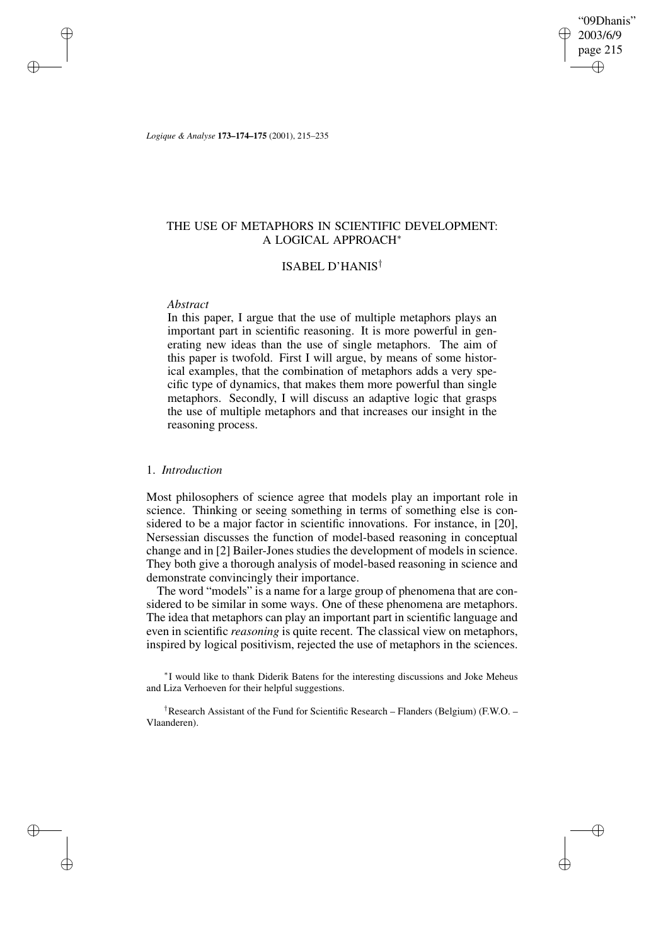"09Dhanis" 2003/6/9 page 215 ✐ ✐

✐

✐

*Logique & Analyse* **173–174–175** (2001), 215–235

## THE USE OF METAPHORS IN SCIENTIFIC DEVELOPMENT: A LOGICAL APPROACH<sup>∗</sup>

## ISABEL D'HANIS†

### *Abstract*

✐

✐

✐

✐

In this paper, I argue that the use of multiple metaphors plays an important part in scientific reasoning. It is more powerful in generating new ideas than the use of single metaphors. The aim of this paper is twofold. First I will argue, by means of some historical examples, that the combination of metaphors adds a very specific type of dynamics, that makes them more powerful than single metaphors. Secondly, I will discuss an adaptive logic that grasps the use of multiple metaphors and that increases our insight in the reasoning process.

## 1. *Introduction*

Most philosophers of science agree that models play an important role in science. Thinking or seeing something in terms of something else is considered to be a major factor in scientific innovations. For instance, in [20], Nersessian discusses the function of model-based reasoning in conceptual change and in [2] Bailer-Jones studies the development of models in science. They both give a thorough analysis of model-based reasoning in science and demonstrate convincingly their importance.

The word "models" is a name for a large group of phenomena that are considered to be similar in some ways. One of these phenomena are metaphors. The idea that metaphors can play an important part in scientific language and even in scientific *reasoning* is quite recent. The classical view on metaphors, inspired by logical positivism, rejected the use of metaphors in the sciences.

∗ I would like to thank Diderik Batens for the interesting discussions and Joke Meheus and Liza Verhoeven for their helpful suggestions.

†Research Assistant of the Fund for Scientific Research – Flanders (Belgium) (F.W.O. – Vlaanderen).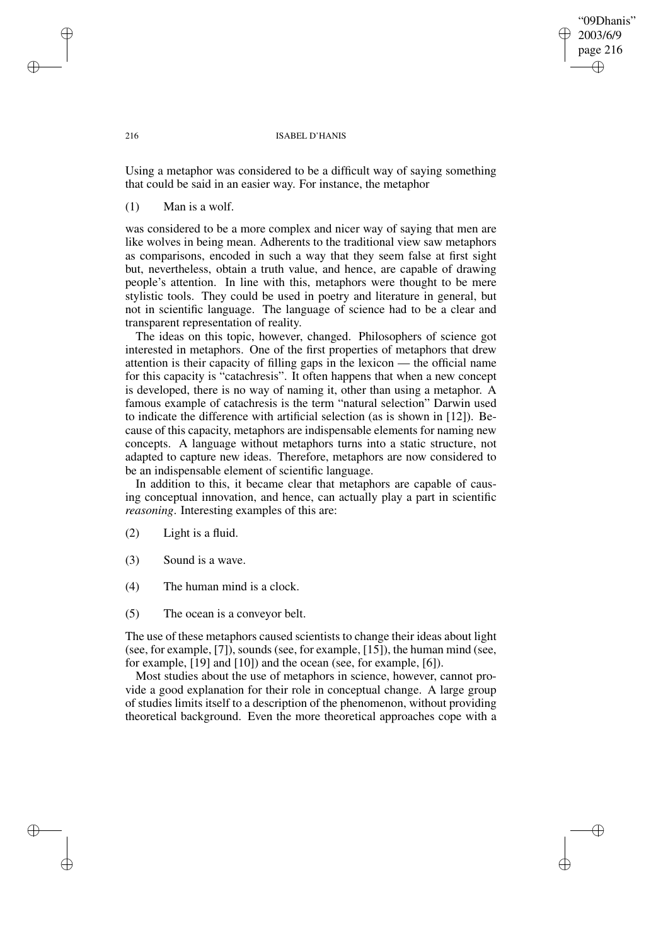## "09Dhanis" 2003/6/9 page 216 ✐ ✐

✐

✐

### 216 ISABEL D'HANIS

Using a metaphor was considered to be a difficult way of saying something that could be said in an easier way. For instance, the metaphor

## (1) Man is a wolf.

was considered to be a more complex and nicer way of saying that men are like wolves in being mean. Adherents to the traditional view saw metaphors as comparisons, encoded in such a way that they seem false at first sight but, nevertheless, obtain a truth value, and hence, are capable of drawing people's attention. In line with this, metaphors were thought to be mere stylistic tools. They could be used in poetry and literature in general, but not in scientific language. The language of science had to be a clear and transparent representation of reality.

The ideas on this topic, however, changed. Philosophers of science got interested in metaphors. One of the first properties of metaphors that drew attention is their capacity of filling gaps in the lexicon — the official name for this capacity is "catachresis". It often happens that when a new concept is developed, there is no way of naming it, other than using a metaphor. A famous example of catachresis is the term "natural selection" Darwin used to indicate the difference with artificial selection (as is shown in [12]). Because of this capacity, metaphors are indispensable elements for naming new concepts. A language without metaphors turns into a static structure, not adapted to capture new ideas. Therefore, metaphors are now considered to be an indispensable element of scientific language.

In addition to this, it became clear that metaphors are capable of causing conceptual innovation, and hence, can actually play a part in scientific *reasoning*. Interesting examples of this are:

- (2) Light is a fluid.
- (3) Sound is a wave.
- (4) The human mind is a clock.
- (5) The ocean is a conveyor belt.

The use of these metaphors caused scientists to change their ideas about light (see, for example, [7]), sounds (see, for example, [15]), the human mind (see, for example, [19] and [10]) and the ocean (see, for example, [6]).

Most studies about the use of metaphors in science, however, cannot provide a good explanation for their role in conceptual change. A large group of studies limits itself to a description of the phenomenon, without providing theoretical background. Even the more theoretical approaches cope with a

✐

✐

✐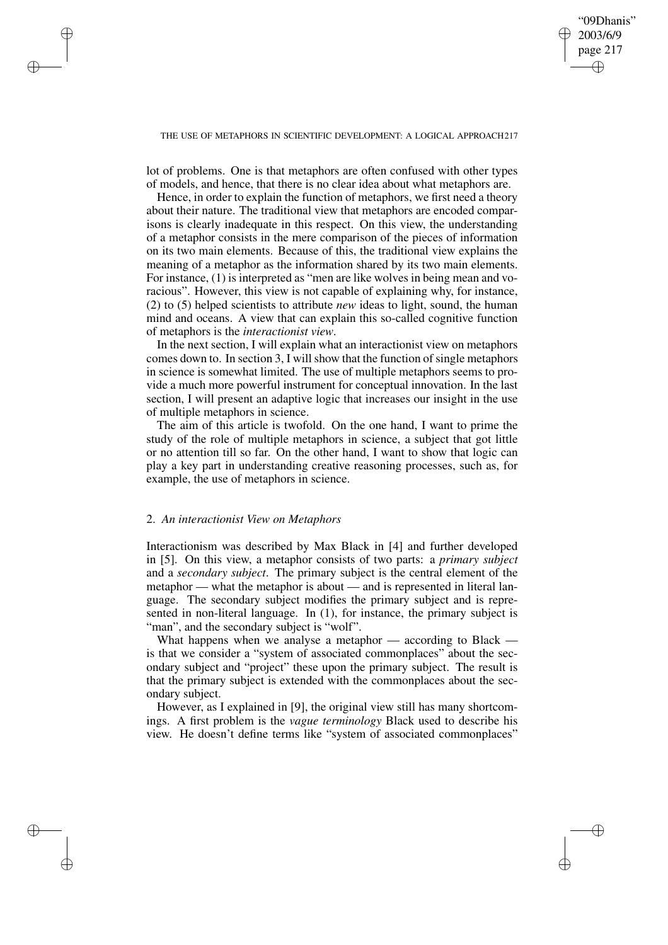✐

### THE USE OF METAPHORS IN SCIENTIFIC DEVELOPMENT: A LOGICAL APPROACH217

lot of problems. One is that metaphors are often confused with other types of models, and hence, that there is no clear idea about what metaphors are.

Hence, in order to explain the function of metaphors, we first need a theory about their nature. The traditional view that metaphors are encoded comparisons is clearly inadequate in this respect. On this view, the understanding of a metaphor consists in the mere comparison of the pieces of information on its two main elements. Because of this, the traditional view explains the meaning of a metaphor as the information shared by its two main elements. For instance, (1) is interpreted as "men are like wolves in being mean and voracious". However, this view is not capable of explaining why, for instance, (2) to (5) helped scientists to attribute *new* ideas to light, sound, the human mind and oceans. A view that can explain this so-called cognitive function of metaphors is the *interactionist view*.

In the next section, I will explain what an interactionist view on metaphors comes down to. In section 3, I will show that the function of single metaphors in science is somewhat limited. The use of multiple metaphors seems to provide a much more powerful instrument for conceptual innovation. In the last section, I will present an adaptive logic that increases our insight in the use of multiple metaphors in science.

The aim of this article is twofold. On the one hand, I want to prime the study of the role of multiple metaphors in science, a subject that got little or no attention till so far. On the other hand, I want to show that logic can play a key part in understanding creative reasoning processes, such as, for example, the use of metaphors in science.

### 2. *An interactionist View on Metaphors*

✐

✐

✐

✐

Interactionism was described by Max Black in [4] and further developed in [5]. On this view, a metaphor consists of two parts: a *primary subject* and a *secondary subject*. The primary subject is the central element of the metaphor — what the metaphor is about — and is represented in literal language. The secondary subject modifies the primary subject and is represented in non-literal language. In (1), for instance, the primary subject is "man", and the secondary subject is "wolf".

What happens when we analyse a metaphor — according to Black is that we consider a "system of associated commonplaces" about the secondary subject and "project" these upon the primary subject. The result is that the primary subject is extended with the commonplaces about the secondary subject.

However, as I explained in [9], the original view still has many shortcomings. A first problem is the *vague terminology* Black used to describe his view. He doesn't define terms like "system of associated commonplaces"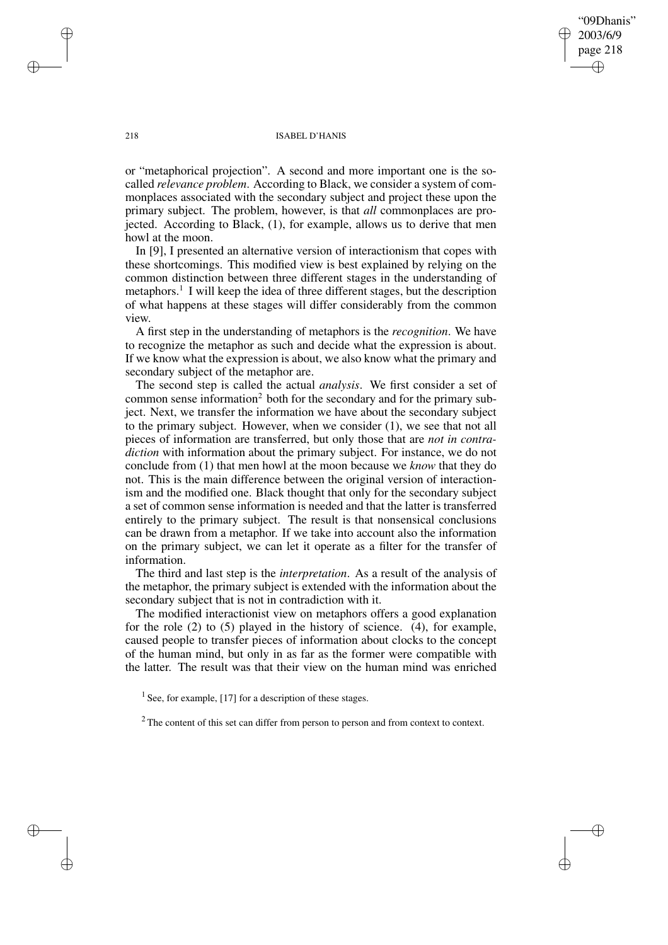218 ISABEL D'HANIS

"09Dhanis" 2003/6/9 page 218

✐

✐

✐

✐

or "metaphorical projection". A second and more important one is the socalled *relevance problem*. According to Black, we consider a system of commonplaces associated with the secondary subject and project these upon the primary subject. The problem, however, is that *all* commonplaces are projected. According to Black, (1), for example, allows us to derive that men howl at the moon.

In [9], I presented an alternative version of interactionism that copes with these shortcomings. This modified view is best explained by relying on the common distinction between three different stages in the understanding of metaphors.<sup>1</sup> I will keep the idea of three different stages, but the description of what happens at these stages will differ considerably from the common view.

A first step in the understanding of metaphors is the *recognition*. We have to recognize the metaphor as such and decide what the expression is about. If we know what the expression is about, we also know what the primary and secondary subject of the metaphor are.

The second step is called the actual *analysis*. We first consider a set of common sense information<sup>2</sup> both for the secondary and for the primary subject. Next, we transfer the information we have about the secondary subject to the primary subject. However, when we consider (1), we see that not all pieces of information are transferred, but only those that are *not in contradiction* with information about the primary subject. For instance, we do not conclude from (1) that men howl at the moon because we *know* that they do not. This is the main difference between the original version of interactionism and the modified one. Black thought that only for the secondary subject a set of common sense information is needed and that the latter is transferred entirely to the primary subject. The result is that nonsensical conclusions can be drawn from a metaphor. If we take into account also the information on the primary subject, we can let it operate as a filter for the transfer of information.

The third and last step is the *interpretation*. As a result of the analysis of the metaphor, the primary subject is extended with the information about the secondary subject that is not in contradiction with it.

The modified interactionist view on metaphors offers a good explanation for the role (2) to (5) played in the history of science. (4), for example, caused people to transfer pieces of information about clocks to the concept of the human mind, but only in as far as the former were compatible with the latter. The result was that their view on the human mind was enriched

<sup>1</sup> See, for example, [17] for a description of these stages.

<sup>2</sup> The content of this set can differ from person to person and from context to context.

✐

✐

✐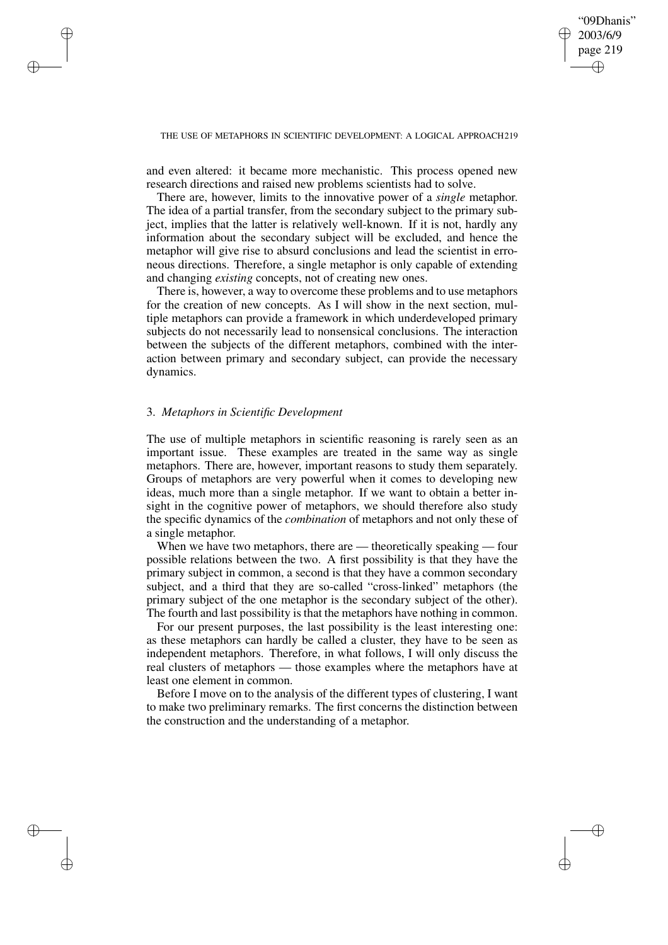✐

### THE USE OF METAPHORS IN SCIENTIFIC DEVELOPMENT: A LOGICAL APPROACH219

and even altered: it became more mechanistic. This process opened new research directions and raised new problems scientists had to solve.

There are, however, limits to the innovative power of a *single* metaphor. The idea of a partial transfer, from the secondary subject to the primary subject, implies that the latter is relatively well-known. If it is not, hardly any information about the secondary subject will be excluded, and hence the metaphor will give rise to absurd conclusions and lead the scientist in erroneous directions. Therefore, a single metaphor is only capable of extending and changing *existing* concepts, not of creating new ones.

There is, however, a way to overcome these problems and to use metaphors for the creation of new concepts. As I will show in the next section, multiple metaphors can provide a framework in which underdeveloped primary subjects do not necessarily lead to nonsensical conclusions. The interaction between the subjects of the different metaphors, combined with the interaction between primary and secondary subject, can provide the necessary dynamics.

### 3. *Metaphors in Scientific Development*

✐

✐

✐

✐

The use of multiple metaphors in scientific reasoning is rarely seen as an important issue. These examples are treated in the same way as single metaphors. There are, however, important reasons to study them separately. Groups of metaphors are very powerful when it comes to developing new ideas, much more than a single metaphor. If we want to obtain a better insight in the cognitive power of metaphors, we should therefore also study the specific dynamics of the *combination* of metaphors and not only these of a single metaphor.

When we have two metaphors, there are — theoretically speaking — four possible relations between the two. A first possibility is that they have the primary subject in common, a second is that they have a common secondary subject, and a third that they are so-called "cross-linked" metaphors (the primary subject of the one metaphor is the secondary subject of the other). The fourth and last possibility is that the metaphors have nothing in common.

For our present purposes, the last possibility is the least interesting one: as these metaphors can hardly be called a cluster, they have to be seen as independent metaphors. Therefore, in what follows, I will only discuss the real clusters of metaphors — those examples where the metaphors have at least one element in common.

Before I move on to the analysis of the different types of clustering, I want to make two preliminary remarks. The first concerns the distinction between the construction and the understanding of a metaphor.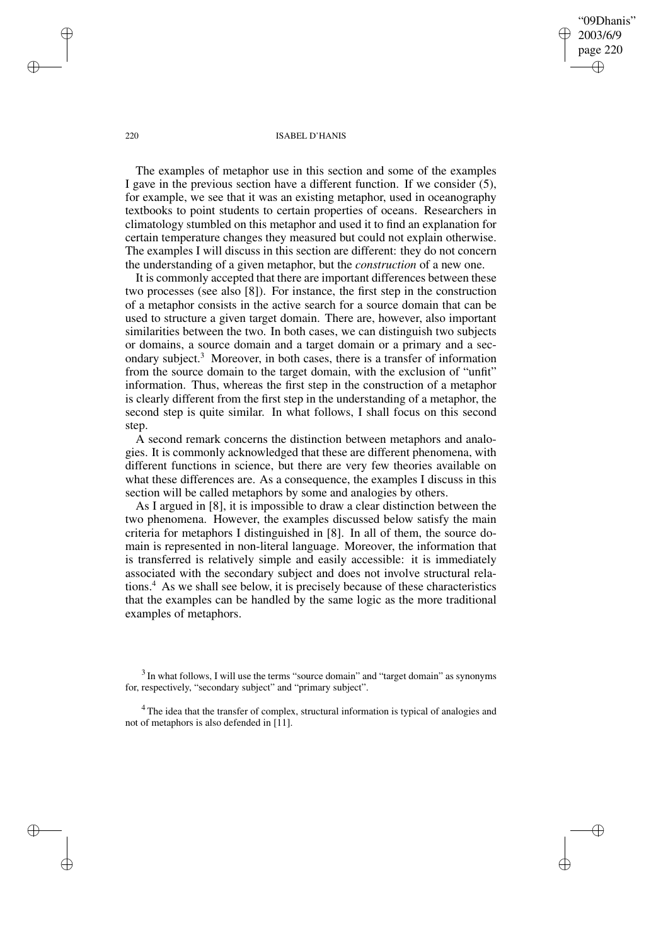"09Dhanis" 2003/6/9 page 220 ✐ ✐

✐

✐

### 220 ISABEL D'HANIS

The examples of metaphor use in this section and some of the examples I gave in the previous section have a different function. If we consider (5), for example, we see that it was an existing metaphor, used in oceanography textbooks to point students to certain properties of oceans. Researchers in climatology stumbled on this metaphor and used it to find an explanation for certain temperature changes they measured but could not explain otherwise. The examples I will discuss in this section are different: they do not concern the understanding of a given metaphor, but the *construction* of a new one.

It is commonly accepted that there are important differences between these two processes (see also [8]). For instance, the first step in the construction of a metaphor consists in the active search for a source domain that can be used to structure a given target domain. There are, however, also important similarities between the two. In both cases, we can distinguish two subjects or domains, a source domain and a target domain or a primary and a secondary subject.<sup>3</sup> Moreover, in both cases, there is a transfer of information from the source domain to the target domain, with the exclusion of "unfit" information. Thus, whereas the first step in the construction of a metaphor is clearly different from the first step in the understanding of a metaphor, the second step is quite similar. In what follows, I shall focus on this second step.

A second remark concerns the distinction between metaphors and analogies. It is commonly acknowledged that these are different phenomena, with different functions in science, but there are very few theories available on what these differences are. As a consequence, the examples I discuss in this section will be called metaphors by some and analogies by others.

As I argued in [8], it is impossible to draw a clear distinction between the two phenomena. However, the examples discussed below satisfy the main criteria for metaphors I distinguished in [8]. In all of them, the source domain is represented in non-literal language. Moreover, the information that is transferred is relatively simple and easily accessible: it is immediately associated with the secondary subject and does not involve structural relations.<sup>4</sup> As we shall see below, it is precisely because of these characteristics that the examples can be handled by the same logic as the more traditional examples of metaphors.

✐

✐

✐

 $3$  In what follows, I will use the terms "source domain" and "target domain" as synonyms for, respectively, "secondary subject" and "primary subject".

<sup>&</sup>lt;sup>4</sup> The idea that the transfer of complex, structural information is typical of analogies and not of metaphors is also defended in  $[11]$ .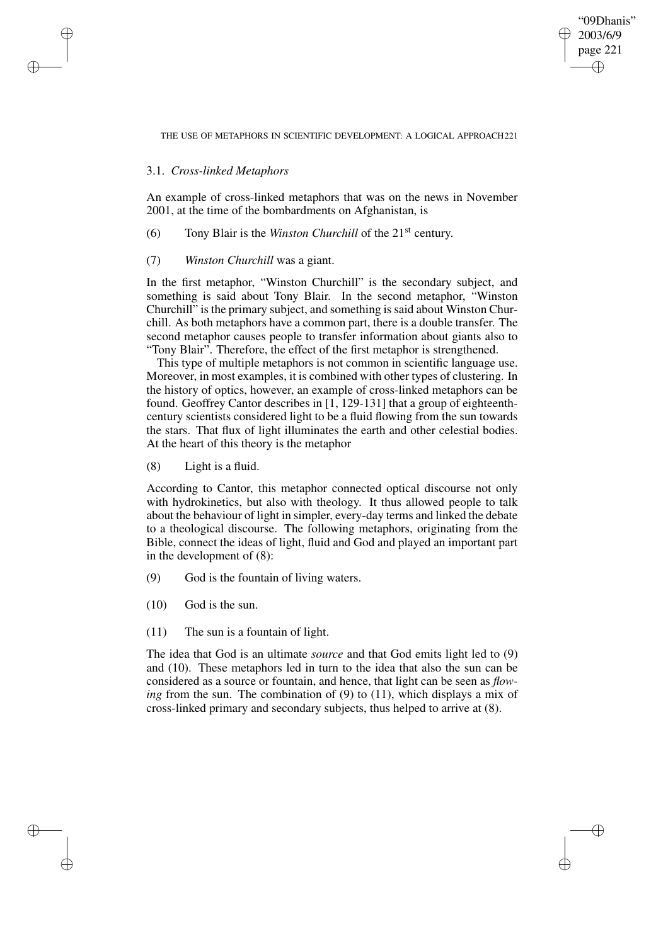"09Dhanis" 2003/6/9 page 221 ✐ ✐

✐

✐

THE USE OF METAPHORS IN SCIENTIFIC DEVELOPMENT: A LOGICAL APPROACH221

## 3.1. *Cross-linked Metaphors*

✐

✐

✐

✐

An example of cross-linked metaphors that was on the news in November 2001, at the time of the bombardments on Afghanistan, is

(6) Tony Blair is the *Winston Churchill* of the 21st century.

## (7) *Winston Churchill* was a giant.

In the first metaphor, "Winston Churchill" is the secondary subject, and something is said about Tony Blair. In the second metaphor, "Winston Churchill" is the primary subject, and something is said about Winston Churchill. As both metaphors have a common part, there is a double transfer. The second metaphor causes people to transfer information about giants also to "Tony Blair". Therefore, the effect of the first metaphor is strengthened.

This type of multiple metaphors is not common in scientific language use. Moreover, in most examples, it is combined with other types of clustering. In the history of optics, however, an example of cross-linked metaphors can be found. Geoffrey Cantor describes in [1, 129-131] that a group of eighteenthcentury scientists considered light to be a fluid flowing from the sun towards the stars. That flux of light illuminates the earth and other celestial bodies. At the heart of this theory is the metaphor

(8) Light is a fluid.

According to Cantor, this metaphor connected optical discourse not only with hydrokinetics, but also with theology. It thus allowed people to talk about the behaviour of light in simpler, every-day terms and linked the debate to a theological discourse. The following metaphors, originating from the Bible, connect the ideas of light, fluid and God and played an important part in the development of (8):

- (9) God is the fountain of living waters.
- (10) God is the sun.
- (11) The sun is a fountain of light.

The idea that God is an ultimate *source* and that God emits light led to (9) and (10). These metaphors led in turn to the idea that also the sun can be considered as a source or fountain, and hence, that light can be seen as *flowing* from the sun. The combination of (9) to (11), which displays a mix of cross-linked primary and secondary subjects, thus helped to arrive at (8).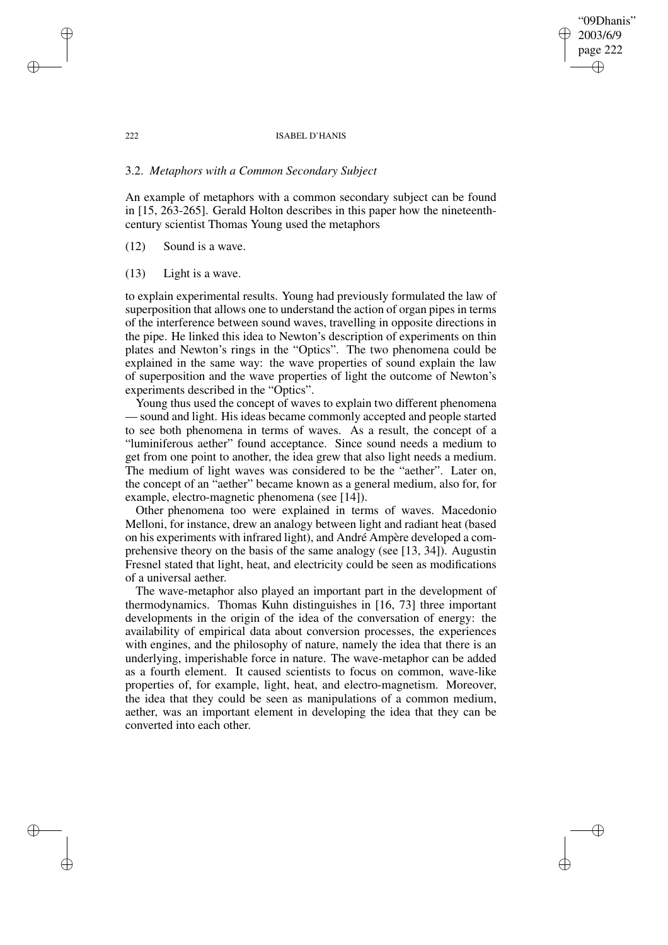## "09Dhanis" 2003/6/9 page 222 ✐ ✐

✐

✐

### 222 ISABEL D'HANIS

## 3.2. *Metaphors with a Common Secondary Subject*

An example of metaphors with a common secondary subject can be found in [15, 263-265]. Gerald Holton describes in this paper how the nineteenthcentury scientist Thomas Young used the metaphors

(12) Sound is a wave.

(13) Light is a wave.

to explain experimental results. Young had previously formulated the law of superposition that allows one to understand the action of organ pipes in terms of the interference between sound waves, travelling in opposite directions in the pipe. He linked this idea to Newton's description of experiments on thin plates and Newton's rings in the "Optics". The two phenomena could be explained in the same way: the wave properties of sound explain the law of superposition and the wave properties of light the outcome of Newton's experiments described in the "Optics".

Young thus used the concept of waves to explain two different phenomena — sound and light. His ideas became commonly accepted and people started to see both phenomena in terms of waves. As a result, the concept of a "luminiferous aether" found acceptance. Since sound needs a medium to get from one point to another, the idea grew that also light needs a medium. The medium of light waves was considered to be the "aether". Later on, the concept of an "aether" became known as a general medium, also for, for example, electro-magnetic phenomena (see [14]).

Other phenomena too were explained in terms of waves. Macedonio Melloni, for instance, drew an analogy between light and radiant heat (based on his experiments with infrared light), and André Ampère developed a comprehensive theory on the basis of the same analogy (see [13, 34]). Augustin Fresnel stated that light, heat, and electricity could be seen as modifications of a universal aether.

The wave-metaphor also played an important part in the development of thermodynamics. Thomas Kuhn distinguishes in [16, 73] three important developments in the origin of the idea of the conversation of energy: the availability of empirical data about conversion processes, the experiences with engines, and the philosophy of nature, namely the idea that there is an underlying, imperishable force in nature. The wave-metaphor can be added as a fourth element. It caused scientists to focus on common, wave-like properties of, for example, light, heat, and electro-magnetism. Moreover, the idea that they could be seen as manipulations of a common medium, aether, was an important element in developing the idea that they can be converted into each other.

✐

✐

✐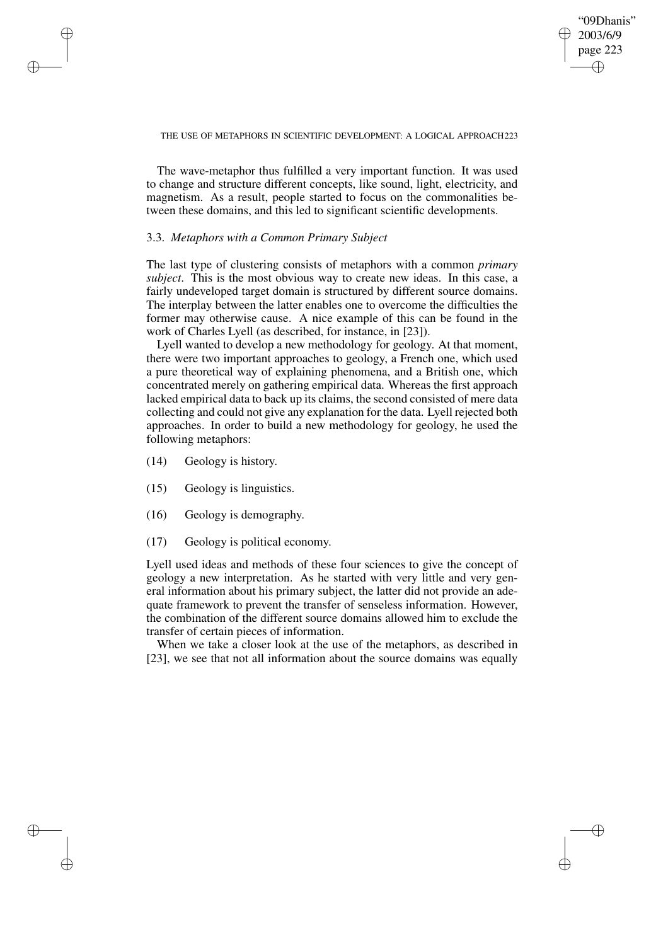"09Dhanis" 2003/6/9 page 223 ✐ ✐

✐

✐

### THE USE OF METAPHORS IN SCIENTIFIC DEVELOPMENT: A LOGICAL APPROACH223

The wave-metaphor thus fulfilled a very important function. It was used to change and structure different concepts, like sound, light, electricity, and magnetism. As a result, people started to focus on the commonalities between these domains, and this led to significant scientific developments.

## 3.3. *Metaphors with a Common Primary Subject*

The last type of clustering consists of metaphors with a common *primary subject*. This is the most obvious way to create new ideas. In this case, a fairly undeveloped target domain is structured by different source domains. The interplay between the latter enables one to overcome the difficulties the former may otherwise cause. A nice example of this can be found in the work of Charles Lyell (as described, for instance, in [23]).

Lyell wanted to develop a new methodology for geology. At that moment, there were two important approaches to geology, a French one, which used a pure theoretical way of explaining phenomena, and a British one, which concentrated merely on gathering empirical data. Whereas the first approach lacked empirical data to back up its claims, the second consisted of mere data collecting and could not give any explanation for the data. Lyell rejected both approaches. In order to build a new methodology for geology, he used the following metaphors:

(14) Geology is history.

✐

✐

✐

✐

- (15) Geology is linguistics.
- (16) Geology is demography.
- (17) Geology is political economy.

Lyell used ideas and methods of these four sciences to give the concept of geology a new interpretation. As he started with very little and very general information about his primary subject, the latter did not provide an adequate framework to prevent the transfer of senseless information. However, the combination of the different source domains allowed him to exclude the transfer of certain pieces of information.

When we take a closer look at the use of the metaphors, as described in [23], we see that not all information about the source domains was equally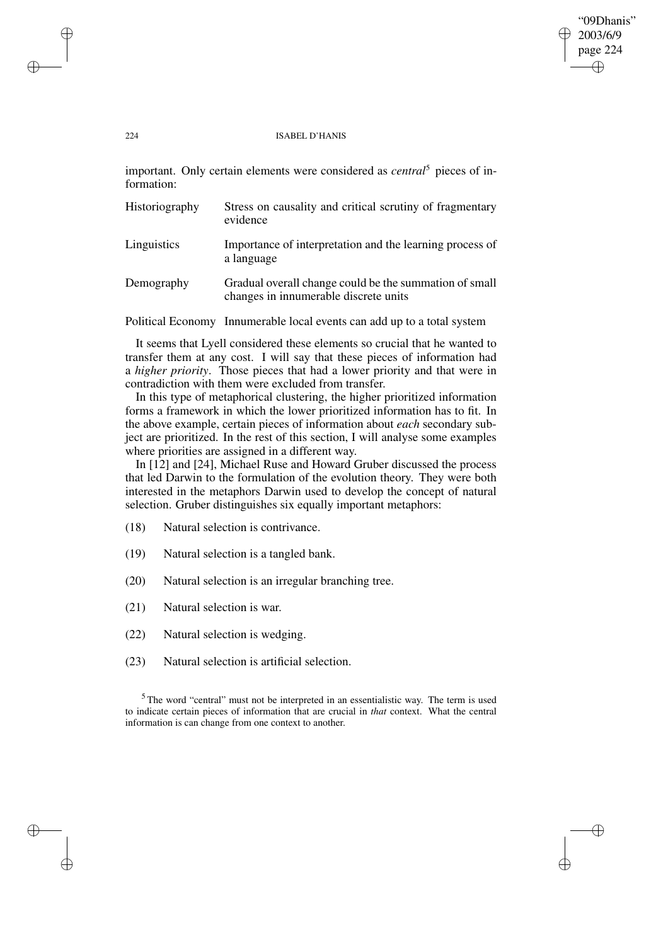### 224 ISABEL D'HANIS

"09Dhanis" 2003/6/9 page 224

✐

✐

✐

✐

important. Only certain elements were considered as *central*<sup>5</sup> pieces of information:

| Historiography | Stress on causality and critical scrutiny of fragmentary<br>evidence                            |
|----------------|-------------------------------------------------------------------------------------------------|
| Linguistics    | Importance of interpretation and the learning process of<br>a language                          |
| Demography     | Gradual overall change could be the summation of small<br>changes in innumerable discrete units |

Political Economy Innumerable local events can add up to a total system

It seems that Lyell considered these elements so crucial that he wanted to transfer them at any cost. I will say that these pieces of information had a *higher priority*. Those pieces that had a lower priority and that were in contradiction with them were excluded from transfer.

In this type of metaphorical clustering, the higher prioritized information forms a framework in which the lower prioritized information has to fit. In the above example, certain pieces of information about *each* secondary subject are prioritized. In the rest of this section, I will analyse some examples where priorities are assigned in a different way.

In [12] and [24], Michael Ruse and Howard Gruber discussed the process that led Darwin to the formulation of the evolution theory. They were both interested in the metaphors Darwin used to develop the concept of natural selection. Gruber distinguishes six equally important metaphors:

(18) Natural selection is contrivance.

- (19) Natural selection is a tangled bank.
- (20) Natural selection is an irregular branching tree.
- (21) Natural selection is war.
- (22) Natural selection is wedging.
- (23) Natural selection is artificial selection.

<sup>5</sup> The word "central" must not be interpreted in an essentialistic way. The term is used to indicate certain pieces of information that are crucial in *that* context. What the central information is can change from one context to another.

✐

✐

✐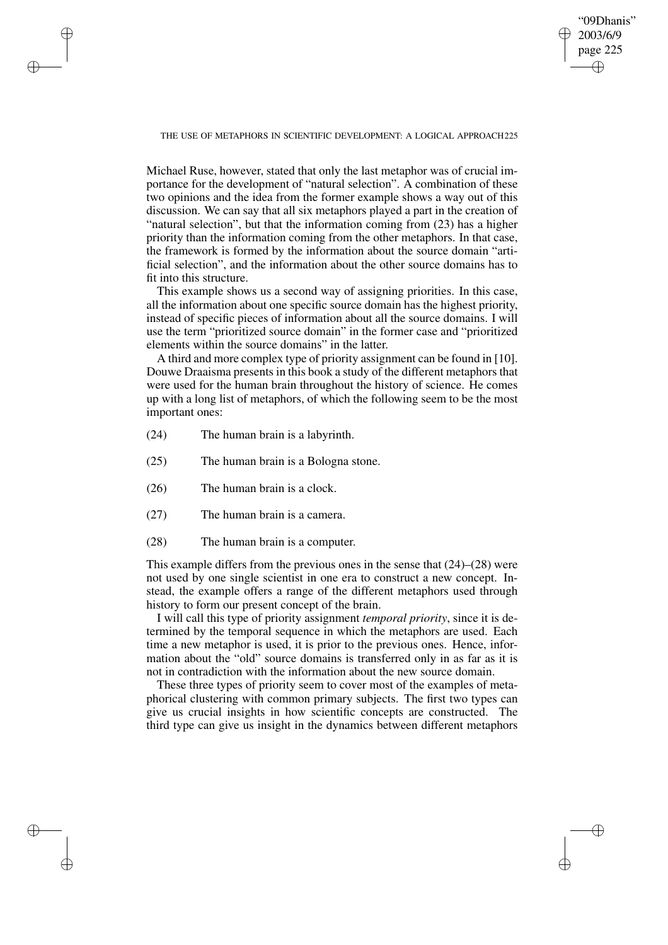"09Dhanis" 2003/6/9 page 225 ✐ ✐

✐

✐

THE USE OF METAPHORS IN SCIENTIFIC DEVELOPMENT: A LOGICAL APPROACH225

Michael Ruse, however, stated that only the last metaphor was of crucial importance for the development of "natural selection". A combination of these two opinions and the idea from the former example shows a way out of this discussion. We can say that all six metaphors played a part in the creation of "natural selection", but that the information coming from (23) has a higher priority than the information coming from the other metaphors. In that case, the framework is formed by the information about the source domain "artificial selection", and the information about the other source domains has to fit into this structure.

This example shows us a second way of assigning priorities. In this case, all the information about one specific source domain has the highest priority, instead of specific pieces of information about all the source domains. I will use the term "prioritized source domain" in the former case and "prioritized elements within the source domains" in the latter.

A third and more complex type of priority assignment can be found in [10]. Douwe Draaisma presents in this book a study of the different metaphors that were used for the human brain throughout the history of science. He comes up with a long list of metaphors, of which the following seem to be the most important ones:

(24) The human brain is a labyrinth.

✐

✐

✐

✐

- (25) The human brain is a Bologna stone.
- (26) The human brain is a clock.
- (27) The human brain is a camera.
- (28) The human brain is a computer.

This example differs from the previous ones in the sense that (24)–(28) were not used by one single scientist in one era to construct a new concept. Instead, the example offers a range of the different metaphors used through history to form our present concept of the brain.

I will call this type of priority assignment *temporal priority*, since it is determined by the temporal sequence in which the metaphors are used. Each time a new metaphor is used, it is prior to the previous ones. Hence, information about the "old" source domains is transferred only in as far as it is not in contradiction with the information about the new source domain.

These three types of priority seem to cover most of the examples of metaphorical clustering with common primary subjects. The first two types can give us crucial insights in how scientific concepts are constructed. The third type can give us insight in the dynamics between different metaphors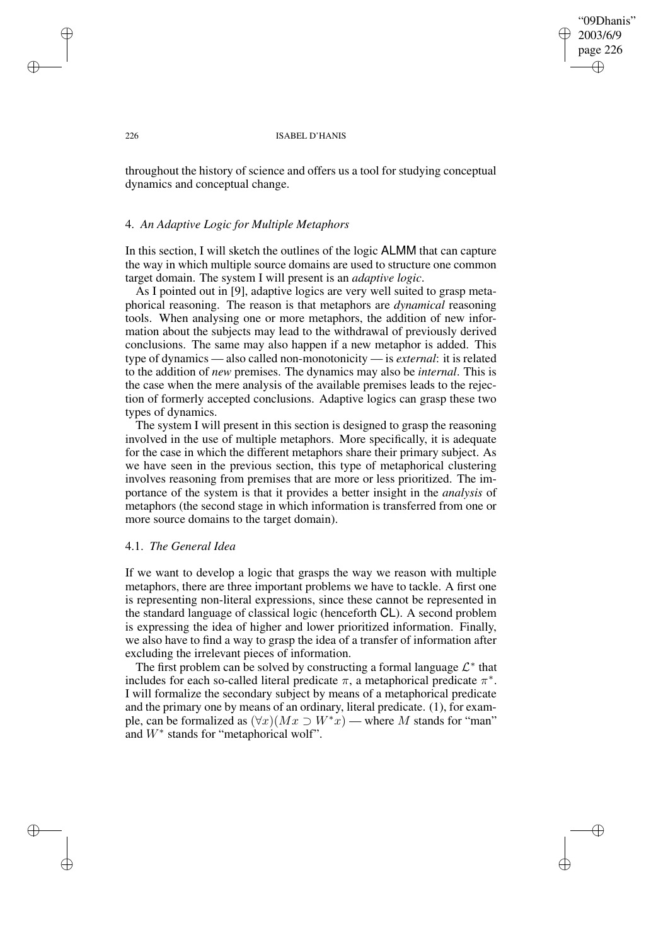"09Dhanis" 2003/6/9 page 226 ✐ ✐

✐

✐

### 226 ISABEL D'HANIS

throughout the history of science and offers us a tool for studying conceptual dynamics and conceptual change.

## 4. *An Adaptive Logic for Multiple Metaphors*

In this section, I will sketch the outlines of the logic ALMM that can capture the way in which multiple source domains are used to structure one common target domain. The system I will present is an *adaptive logic*.

As I pointed out in [9], adaptive logics are very well suited to grasp metaphorical reasoning. The reason is that metaphors are *dynamical* reasoning tools. When analysing one or more metaphors, the addition of new information about the subjects may lead to the withdrawal of previously derived conclusions. The same may also happen if a new metaphor is added. This type of dynamics — also called non-monotonicity — is *external*: it is related to the addition of *new* premises. The dynamics may also be *internal*. This is the case when the mere analysis of the available premises leads to the rejection of formerly accepted conclusions. Adaptive logics can grasp these two types of dynamics.

The system I will present in this section is designed to grasp the reasoning involved in the use of multiple metaphors. More specifically, it is adequate for the case in which the different metaphors share their primary subject. As we have seen in the previous section, this type of metaphorical clustering involves reasoning from premises that are more or less prioritized. The importance of the system is that it provides a better insight in the *analysis* of metaphors (the second stage in which information is transferred from one or more source domains to the target domain).

## 4.1. *The General Idea*

If we want to develop a logic that grasps the way we reason with multiple metaphors, there are three important problems we have to tackle. A first one is representing non-literal expressions, since these cannot be represented in the standard language of classical logic (henceforth CL). A second problem is expressing the idea of higher and lower prioritized information. Finally, we also have to find a way to grasp the idea of a transfer of information after excluding the irrelevant pieces of information.

The first problem can be solved by constructing a formal language  $\mathcal{L}^*$  that includes for each so-called literal predicate  $\pi$ , a metaphorical predicate  $\pi^*$ . I will formalize the secondary subject by means of a metaphorical predicate and the primary one by means of an ordinary, literal predicate. (1), for example, can be formalized as  $(\forall x)(Mx \supset W^*x)$  — where M stands for "man" and  $W^*$  stands for "metaphorical wolf".

✐

✐

✐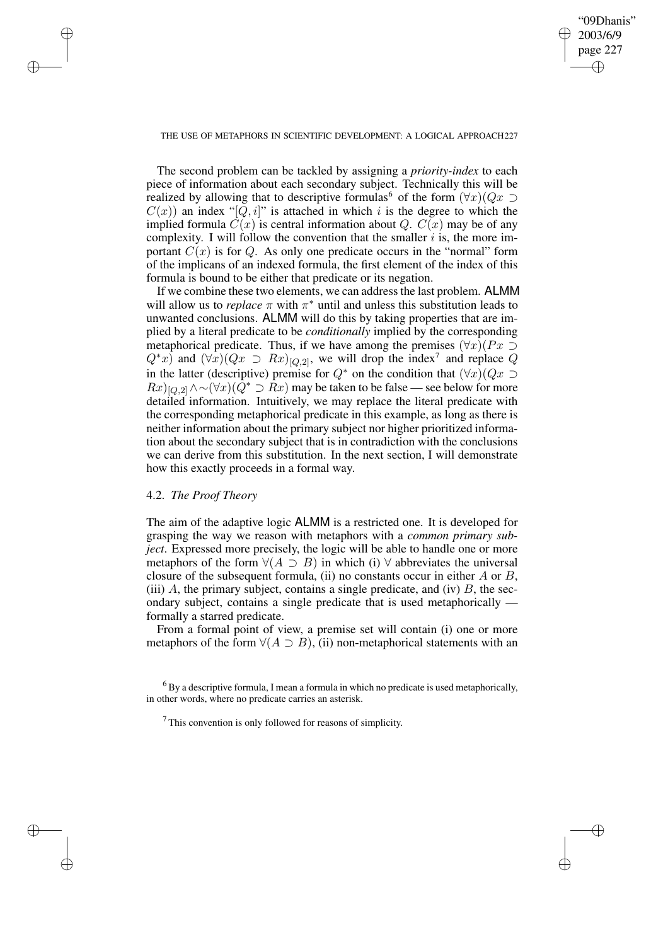✐

### THE USE OF METAPHORS IN SCIENTIFIC DEVELOPMENT: A LOGICAL APPROACH227

The second problem can be tackled by assigning a *priority-index* to each piece of information about each secondary subject. Technically this will be realized by allowing that to descriptive formulas<sup>6</sup> of the form  $(\forall x)(Qx \supset$  $C(x)$ ) an index "[Q, i]" is attached in which i is the degree to which the implied formula  $\ddot{C}(x)$  is central information about Q.  $C(x)$  may be of any complexity. I will follow the convention that the smaller  $i$  is, the more important  $C(x)$  is for Q. As only one predicate occurs in the "normal" form of the implicans of an indexed formula, the first element of the index of this formula is bound to be either that predicate or its negation.

If we combine these two elements, we can addressthe last problem. ALMM will allow us to *replace*  $\pi$  with  $\pi^*$  until and unless this substitution leads to unwanted conclusions. ALMM will do this by taking properties that are implied by a literal predicate to be *conditionally* implied by the corresponding metaphorical predicate. Thus, if we have among the premises  $(\forall x)(Px \supset$  $Q^*x$ ) and  $(\forall x)(Qx \supset Rx)_{[Q,2]}$ , we will drop the index<sup>7</sup> and replace Q in the latter (descriptive) premise for  $Q^*$  on the condition that  $(\forall x)(Qx \supset$  $Rx)_{[Q,2]}\wedge \sim (\forall x)(Q^* \supset Rx)$  may be taken to be false — see below for more detailed information. Intuitively, we may replace the literal predicate with the corresponding metaphorical predicate in this example, as long as there is neither information about the primary subject nor higher prioritized information about the secondary subject that is in contradiction with the conclusions we can derive from this substitution. In the next section, I will demonstrate how this exactly proceeds in a formal way.

## 4.2. *The Proof Theory*

✐

✐

✐

✐

The aim of the adaptive logic ALMM is a restricted one. It is developed for grasping the way we reason with metaphors with a *common primary subject*. Expressed more precisely, the logic will be able to handle one or more metaphors of the form  $\forall (A \supset B)$  in which (i)  $\forall$  abbreviates the universal closure of the subsequent formula, (ii) no constants occur in either  $A$  or  $B$ , (iii)  $A$ , the primary subject, contains a single predicate, and (iv)  $B$ , the secondary subject, contains a single predicate that is used metaphorically formally a starred predicate.

From a formal point of view, a premise set will contain (i) one or more metaphors of the form  $\forall (A \supset B)$ , (ii) non-metaphorical statements with an

 $<sup>6</sup>$  By a descriptive formula, I mean a formula in which no predicate is used metaphorically,</sup> in other words, where no predicate carries an asterisk.

 $<sup>7</sup>$  This convention is only followed for reasons of simplicity.</sup>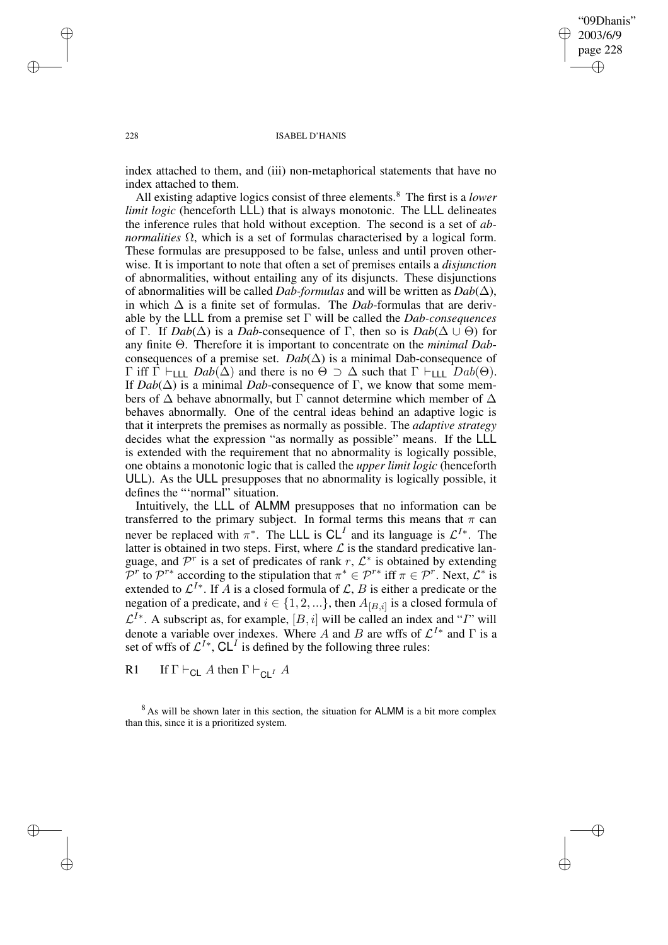✐

### 228 ISABEL D'HANIS

index attached to them, and (iii) non-metaphorical statements that have no index attached to them.

All existing adaptive logics consist of three elements.<sup>8</sup> The first is a *lower limit logic* (henceforth **LLL**) that is always monotonic. The **LLL** delineates the inference rules that hold without exception. The second is a set of *abnormalities* Ω, which is a set of formulas characterised by a logical form. These formulas are presupposed to be false, unless and until proven otherwise. It is important to note that often a set of premises entails a *disjunction* of abnormalities, without entailing any of its disjuncts. These disjunctions of abnormalities will be called *Dab-formulas* and will be written as  $Dab(\Delta)$ , in which ∆ is a finite set of formulas. The *Dab*-formulas that are derivable by the LLL from a premise set Γ will be called the *Dab-consequences* of Γ. If  $Dab(\Delta)$  is a *Dab*-consequence of Γ, then so is  $Dab(\Delta \cup \Theta)$  for any finite Θ. Therefore it is important to concentrate on the *minimal Dab*consequences of a premise set.  $Dab(\Delta)$  is a minimal Dab-consequence of Γ iff Γ  $\vdash$ <sub>LLL</sub> *Dab*( $\Delta$ ) and there is no  $\Theta \supset \Delta$  such that Γ  $\vdash$ <sub>LLL</sub> *Dab*( $\Theta$ ). If  $Dab(\Delta)$  is a minimal *Dab*-consequence of Γ, we know that some members of  $\Delta$  behave abnormally, but  $\Gamma$  cannot determine which member of  $\Delta$ behaves abnormally. One of the central ideas behind an adaptive logic is that it interprets the premises as normally as possible. The *adaptive strategy* decides what the expression "as normally as possible" means. If the LLL is extended with the requirement that no abnormality is logically possible, one obtains a monotonic logic that is called the *upper limit logic* (henceforth ULL). As the ULL presupposes that no abnormality is logically possible, it defines the "'normal" situation.

Intuitively, the LLL of ALMM presupposes that no information can be transferred to the primary subject. In formal terms this means that  $\pi$  can never be replaced with  $\pi^*$ . The LLL is  $CL^I$  and its language is  $\mathcal{L}^{I*}$ . The latter is obtained in two steps. First, where  $\mathcal L$  is the standard predicative language, and  $\mathcal{P}^r$  is a set of predicates of rank r,  $\mathcal{L}^*$  is obtained by extending  $\overline{P}^r$  to  $\mathcal{P}^{r*}$  according to the stipulation that  $\pi^* \in \mathcal{P}^{r*}$  iff  $\pi \in \mathcal{P}^r$ . Next,  $\mathcal{L}^*$  is extended to  $\mathcal{L}^{I*}$ . If A is a closed formula of  $\mathcal{L}, B$  is either a predicate or the negation of a predicate, and  $i \in \{1, 2, ...\}$ , then  $A_{[B,i]}$  is a closed formula of  $\mathcal{L}^{I*}$ . A subscript as, for example,  $[B, i]$  will be called an index and "I" will denote a variable over indexes. Where A and B are wffs of  $\mathcal{L}^{I*}$  and  $\Gamma$  is a set of wffs of  $\mathcal{L}^{I*}$ ,  $\mathsf{CL}^{I}$  is defined by the following three rules:

R1 If  $\Gamma \vdash_{\mathsf{CL}} A$  then  $\Gamma \vdash_{\mathsf{CL}^I} A$ 

<sup>8</sup> As will be shown later in this section, the situation for ALMM is a bit more complex than this, since it is a prioritized system.

✐

✐

✐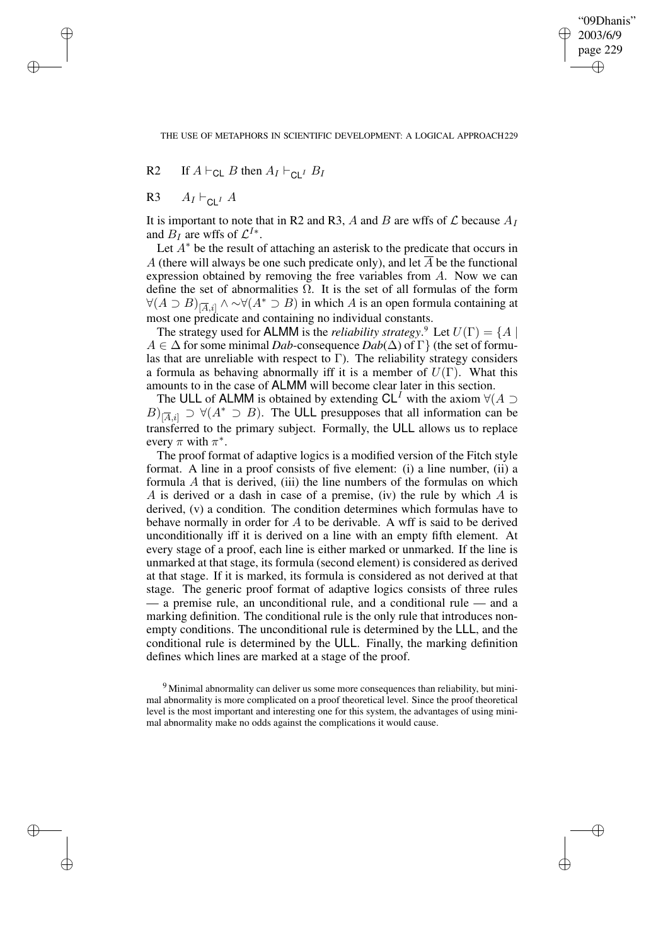"09Dhanis" 2003/6/9 page 229 ✐ ✐

✐

✐

THE USE OF METAPHORS IN SCIENTIFIC DEVELOPMENT: A LOGICAL APPROACH229

R2 If  $A \vdash_{\text{CL}} B$  then  $A_I \vdash_{\text{CL}} B_I$ 

R3  $A_I \vdash_{\text{Cl}^I} A$ 

✐

✐

✐

✐

It is important to note that in R2 and R3, A and B are wffs of  $\mathcal L$  because  $A_I$ and  $B_I$  are wffs of  $\mathcal{L}^{I*}$ .

Let  $A^*$  be the result of attaching an asterisk to the predicate that occurs in A (there will always be one such predicate only), and let  $\overline{A}$  be the functional expression obtained by removing the free variables from A. Now we can define the set of abnormalities  $\Omega$ . It is the set of all formulas of the form  $\forall (A \supset B)_{\vert \overline{A}, i \vert} \land \sim \forall (A^* \supset B)$  in which A is an open formula containing at most one predicate and containing no individual constants.

The strategy used for **ALMM** is the *reliability strategy*.<sup>9</sup> Let  $U(\Gamma) = \{A \mid$  $A \in \Delta$  for some minimal *Dab*-consequence  $Dab(\Delta)$  of  $\Gamma$ } (the set of formulas that are unreliable with respect to  $\Gamma$ ). The reliability strategy considers a formula as behaving abnormally iff it is a member of  $U(\Gamma)$ . What this amounts to in the case of ALMM will become clear later in this section.

The ULL of ALMM is obtained by extending  $CL<sup>T</sup>$  with the axiom  $\forall (A \supset$  $B)_{\overline{[A},i]} \supset \forall (A^* \supset B)$ . The ULL presupposes that all information can be transferred to the primary subject. Formally, the ULL allows us to replace every  $\pi$  with  $\pi^*$ .

The proof format of adaptive logics is a modified version of the Fitch style format. A line in a proof consists of five element: (i) a line number, (ii) a formula  $A$  that is derived, (iii) the line numbers of the formulas on which A is derived or a dash in case of a premise, (iv) the rule by which  $A$  is derived, (v) a condition. The condition determines which formulas have to behave normally in order for A to be derivable. A wff is said to be derived unconditionally iff it is derived on a line with an empty fifth element. At every stage of a proof, each line is either marked or unmarked. If the line is unmarked at that stage, its formula (second element) is considered as derived at that stage. If it is marked, its formula is considered as not derived at that stage. The generic proof format of adaptive logics consists of three rules — a premise rule, an unconditional rule, and a conditional rule — and a marking definition. The conditional rule is the only rule that introduces nonempty conditions. The unconditional rule is determined by the LLL, and the conditional rule is determined by the ULL. Finally, the marking definition defines which lines are marked at a stage of the proof.

<sup>9</sup> Minimal abnormality can deliver us some more consequences than reliability, but minimal abnormality is more complicated on a proof theoretical level. Since the proof theoretical level is the most important and interesting one for this system, the advantages of using minimal abnormality make no odds against the complications it would cause.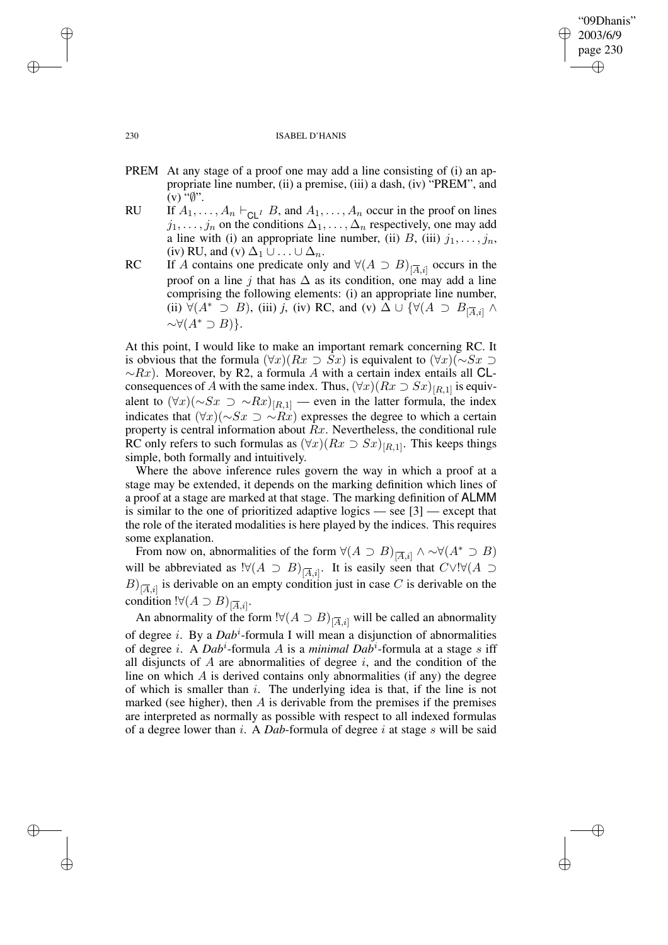# 230 ISABEL D'HANIS

"09Dhanis" 2003/6/9 page 230

✐

✐

✐

✐

- PREM At any stage of a proof one may add a line consisting of (i) an appropriate line number, (ii) a premise, (iii) a dash, (iv) "PREM", and  $(v)$  " $\emptyset$ ".
- RU If  $A_1, \ldots, A_n \vdash_{\mathsf{CL}^I} B$ , and  $A_1, \ldots, A_n$  occur in the proof on lines  $j_1, \ldots, j_n$  on the conditions  $\Delta_1, \ldots, \Delta_n$  respectively, one may add a line with (i) an appropriate line number, (ii) B, (iii)  $j_1, \ldots, j_n$ , (iv) RU, and (v)  $\Delta_1 \cup ... \cup \Delta_n$ .
- RC If A contains one predicate only and  $\forall (A \supset B)_{[\overline{A},i]}$  occurs in the proof on a line j that has  $\Delta$  as its condition, one may add a line comprising the following elements: (i) an appropriate line number, (ii)  $\forall (A^* \supset B)$ , (iii) *j*, (iv) RC, and (v)  $\Delta \cup \{ \forall (A \supset B_{|\overline{A},i}| \wedge \overline{A})\}$  $~\sim \forall (A^* \supset B)$ .

At this point, I would like to make an important remark concerning RC. It is obvious that the formula  $(\forall x)(Rx \supset Sx)$  is equivalent to  $(\forall x)(\sim Sx \supset$  $~\sim Rx$ ). Moreover, by R2, a formula A with a certain index entails all CLconsequences of A with the same index. Thus,  $(\forall x)(Rx \supset Sx)_{[R,1]}$  is equivalent to  $(\forall x)(\sim Sx \supset \sim Rx)_{[R,1]}$  — even in the latter formula, the index indicates that  $(\forall x)(\sim Sx \supset \sim Rx)$  expresses the degree to which a certain property is central information about  $Rx$ . Nevertheless, the conditional rule RC only refers to such formulas as  $(\forall x)(Rx \supset Sx)_{[R,1]}$ . This keeps things simple, both formally and intuitively.

Where the above inference rules govern the way in which a proof at a stage may be extended, it depends on the marking definition which lines of a proof at a stage are marked at that stage. The marking definition of ALMM is similar to the one of prioritized adaptive logics — see [3] — except that the role of the iterated modalities is here played by the indices. This requires some explanation.

From now on, abnormalities of the form  $\forall (A \supset B)_{\vert \overline{A}, i \vert} \land \sim \forall (A^* \supset B)$ will be abbreviated as  $!\forall (A \supset B)_{\overline{[A,i]}}$ . It is easily seen that  $C \vee !\forall (A \supset B)$  $B)_{\overline{[A},i]}$  is derivable on an empty condition just in case C is derivable on the condition  $!\forall (A \supset B)_{[\overline{A},i]}.$ 

An abnormality of the form  $!\forall (A \supset B)_{[\overline{A},i]}$  will be called an abnormality of degree *i*. By a *Dab<sup>i</sup>*-formula I will mean a disjunction of abnormalities of degree i. A *Dab*<sup>i</sup> -formula A is a *minimal Dab*<sup>i</sup> -formula at a stage s iff all disjuncts of  $A$  are abnormalities of degree  $i$ , and the condition of the line on which  $\vec{A}$  is derived contains only abnormalities (if any) the degree of which is smaller than  $i$ . The underlying idea is that, if the line is not marked (see higher), then  $A$  is derivable from the premises if the premises are interpreted as normally as possible with respect to all indexed formulas of a degree lower than i. A *Dab*-formula of degree i at stage s will be said

✐

✐

✐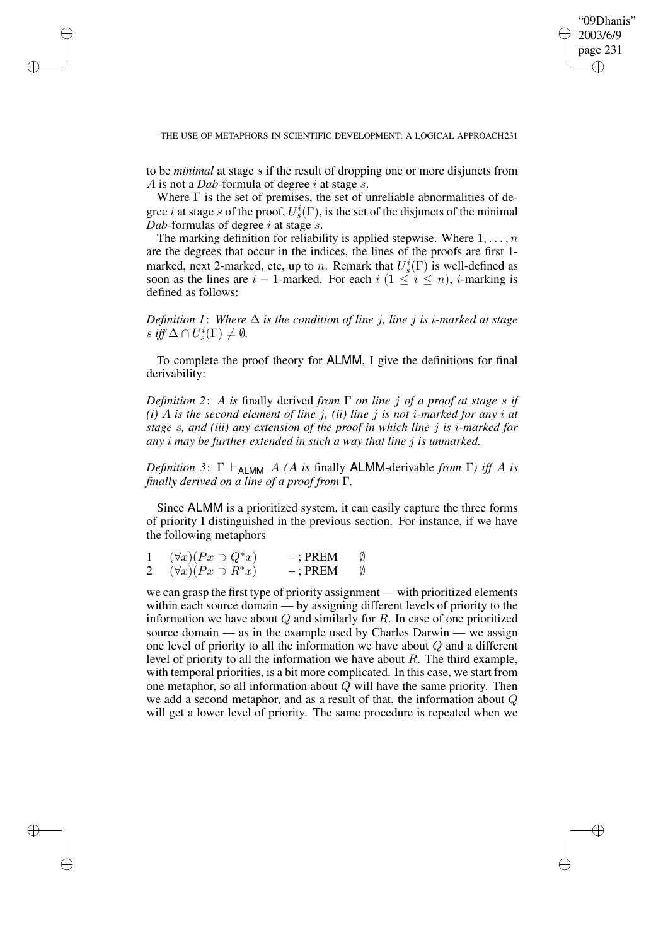"09Dhanis" 2003/6/9 page 231 ✐ ✐

✐

✐

### THE USE OF METAPHORS IN SCIENTIFIC DEVELOPMENT: A LOGICAL APPROACH231

✐

✐

✐

✐

to be *minimal* at stage s if the result of dropping one or more disjuncts from A is not a *Dab*-formula of degree i at stage s.

Where  $\Gamma$  is the set of premises, the set of unreliable abnormalities of degree *i* at stage *s* of the proof,  $U_s^i(\Gamma)$ , is the set of the disjuncts of the minimal *Dab*-formulas of degree *i* at stage *s*.

The marking definition for reliability is applied stepwise. Where  $1, \ldots, n$ are the degrees that occur in the indices, the lines of the proofs are first 1 marked, next 2-marked, etc, up to *n*. Remark that  $U_s^i(\Gamma)$  is well-defined as soon as the lines are  $i - 1$ -marked. For each  $i (1 \leq i \leq n)$ , *i*-marking is defined as follows:

*Definition* 1: Where  $\Delta$  *is the condition of line j, line j is i-marked at stage*  $s \text{ iff } \Delta \cap U_s^i(\Gamma) \neq \emptyset.$ 

To complete the proof theory for ALMM, I give the definitions for final derivability:

*Definition 2*: A *is* finally derived *from* Γ *on line* j *of a proof at stage* s *if*  $(i)$  A *is* the second element of line *j*, *(ii)* line *j is* not *i*-marked for any *i* at *stage* s*, and (iii) any extension of the proof in which line* j *is* i*-marked for any* i *may be further extended in such a way that line* j *is unmarked.*

*Definition* 3:  $\Gamma \vdash_{\text{ALMM}} A$  *(A is finally ALMM-derivable from*  $\Gamma$ *) iff A is finally derived on a line of a proof from* Γ*.*

Since ALMM is a prioritized system, it can easily capture the three forms of priority I distinguished in the previous section. For instance, if we have the following metaphors

|   | $(\forall x)(Px \supset Q^*x)$ | $-$ : PREM |   |
|---|--------------------------------|------------|---|
| 2 | $(\forall x)(Px \supset R^*x)$ | $-$ : PREM | Ø |

we can grasp the first type of priority assignment — with prioritized elements within each source domain — by assigning different levels of priority to the information we have about  $Q$  and similarly for  $R$ . In case of one prioritized source domain — as in the example used by Charles Darwin — we assign one level of priority to all the information we have about Q and a different level of priority to all the information we have about  $R$ . The third example, with temporal priorities, is a bit more complicated. In this case, we start from one metaphor, so all information about  $Q$  will have the same priority. Then we add a second metaphor, and as a result of that, the information about  $Q$ will get a lower level of priority. The same procedure is repeated when we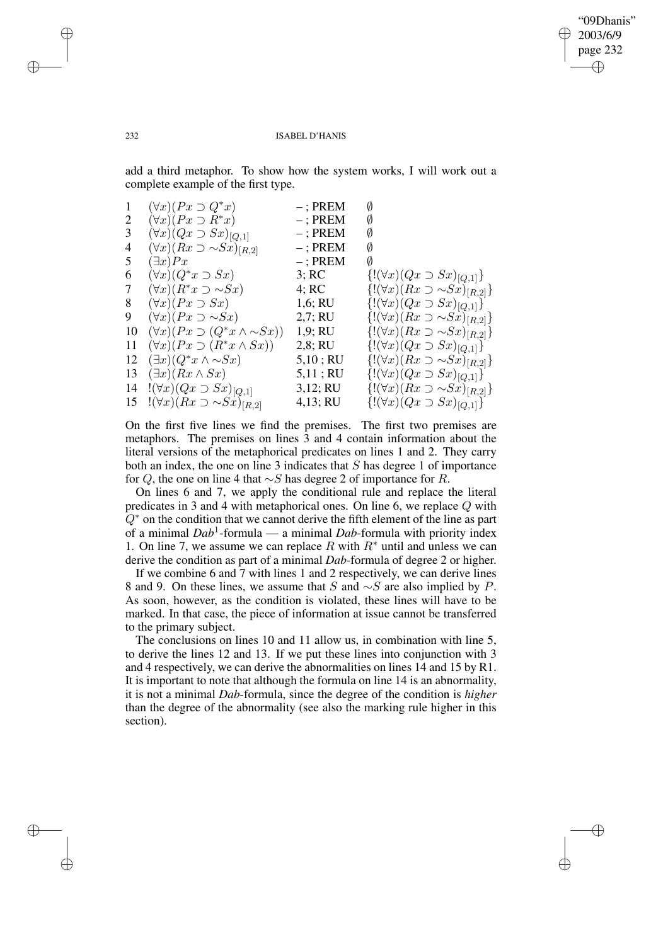✐

### 232 ISABEL D'HANIS

add a third metaphor. To show how the system works, I will work out a complete example of the first type.

| 1  | $(\forall x)(Px \supset Q^*x)$                  | $-$ ; PREM  | Ø                                               |
|----|-------------------------------------------------|-------------|-------------------------------------------------|
| 2  | $(\forall x)(Px \supset R^*x)$                  | $-$ ; PREM  | Ø                                               |
| 3  | $(\forall x)(Qx \supset Sx)_{[Q,1]}$            | $-$ ; PREM  | Ø                                               |
| 4  | $(\forall x)(Rx \supset \sim Sx)_{[R,2]}$       | $-$ ; PREM  | Ø                                               |
| 5  | $(\exists x)Px$                                 | $-$ ; PREM  | Ø                                               |
| 6  | $(\forall x)(Q^*x \supset Sx)$                  | 3; RC       | ${( (\forall x)(Qx \supset Sx)_{[Q,1]}}$        |
| 7  | $(\forall x)(R^*x \supset \sim Sx)$             | 4; RC       | $\{!(\forall x)(Rx \supset \sim Sx)_{[R,2]}\}\$ |
| 8  | $(\forall x)(Px \supset Sx)$                    | 1,6; RU     | ${( (\forall x)(Qx \supset Sx)_{[Q,1]}}$        |
| 9  | $(\forall x)(Px \supset \sim Sx)$               | 2,7; RU     | $\{!(\forall x)(Rx \supset \sim Sx)_{[R,2]}\}\$ |
| 10 | $(\forall x)(Px \supset (Q^*x \wedge \sim Sx))$ | 1,9; RU     | $\{!(\forall x)(Rx \supset \sim Sx)_{[R,2]}\}\$ |
| 11 | $(\forall x)(Px \supset (R^*x \wedge Sx))$      | 2,8; RU     | ${( (\forall x)(Qx \supset Sx) _{Q,1}]}$        |
| 12 | $(\exists x)(Q^*x \wedge \sim Sx)$              | $5,10$ ; RU | $\{!(\forall x)(Rx \supset \sim Sx)_{[R,2]}\}\$ |
| 13 | $(\exists x)(Rx \wedge Sx)$                     | 5,11; RU    | $\{!(\forall x)(Qx \supset Sx)_{[Q,1]}\}\$      |
| 14 | $!(\forall x)(Qx\supset Sx)_{[Q,1]}$            | 3,12; RU    | $\{!(\forall x)(Rx \supset \sim Sx)_{[R,2]}\}\$ |
|    | 15 $!(\forall x)(Rx \supset \sim Sx)_{[R,2]}$   | 4,13; RU    | ${( (\forall x)(Qx \supset Sx)_{[Q,1]}}$        |

On the first five lines we find the premises. The first two premises are metaphors. The premises on lines 3 and 4 contain information about the literal versions of the metaphorical predicates on lines 1 and 2. They carry both an index, the one on line 3 indicates that S has degree 1 of importance for Q, the one on line 4 that ∼S has degree 2 of importance for R.

On lines 6 and 7, we apply the conditional rule and replace the literal predicates in 3 and 4 with metaphorical ones. On line 6, we replace Q with  $Q^*$  on the condition that we cannot derive the fifth element of the line as part of a minimal *Dab*<sup>1</sup> -formula — a minimal *Dab*-formula with priority index 1. On line 7, we assume we can replace R with  $R^*$  until and unless we can derive the condition as part of a minimal *Dab*-formula of degree 2 or higher.

If we combine 6 and 7 with lines 1 and 2 respectively, we can derive lines 8 and 9. On these lines, we assume that S and  $\sim$ S are also implied by P. As soon, however, as the condition is violated, these lines will have to be marked. In that case, the piece of information at issue cannot be transferred to the primary subject.

The conclusions on lines 10 and 11 allow us, in combination with line 5, to derive the lines 12 and 13. If we put these lines into conjunction with 3 and 4 respectively, we can derive the abnormalities on lines 14 and 15 by R1. It is important to note that although the formula on line 14 is an abnormality, it is not a minimal *Dab*-formula, since the degree of the condition is *higher* than the degree of the abnormality (see also the marking rule higher in this section).

✐

✐

✐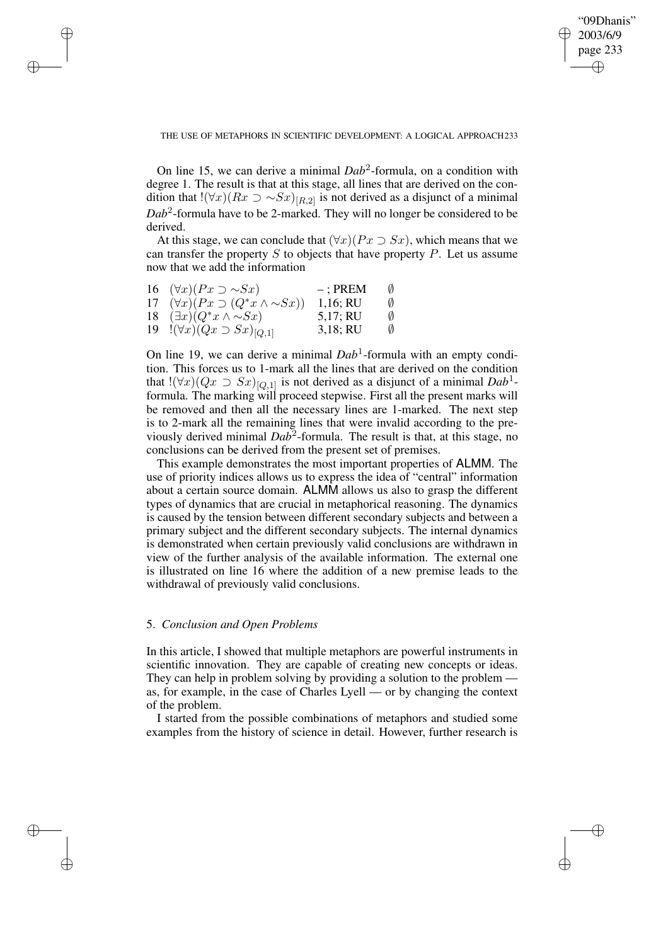✐

THE USE OF METAPHORS IN SCIENTIFIC DEVELOPMENT: A LOGICAL APPROACH233

On line 15, we can derive a minimal  $Dab^2$ -formula, on a condition with degree 1. The result is that at this stage, all lines that are derived on the condition that  $!(\forall x)(Rx \supset \sim Sx)_{[R,2]}$  is not derived as a disjunct of a minimal *Dab*<sup>2</sup> -formula have to be 2-marked. They will no longer be considered to be derived.

At this stage, we can conclude that  $(\forall x)(Px \supset Sx)$ , which means that we can transfer the property  $S$  to objects that have property  $P$ . Let us assume now that we add the information

| 16 $(\forall x)(Px \supset \sim Sx)$               | $-$ : PREM | Ø |
|----------------------------------------------------|------------|---|
| 17 $(\forall x)(Px \supset (Q^*x \wedge \sim Sx))$ | 1,16; RU   | Ø |
| 18 $(\exists x)(Q^*x \wedge \sim Sx)$              | 5,17; RU   | Ø |
| 19 $!(\forall x)(Qx \supset Sx)_{[Q,1]}$           | 3,18; RU   | Ø |

✐

✐

✐

✐

On line 19, we can derive a minimal *Dab*<sup>1</sup>-formula with an empty condition. This forces us to 1-mark all the lines that are derived on the condition that  $!(\forall x)(Qx \supset Sx)_{[Q,1]}$  is not derived as a disjunct of a minimal  $Dab^1$ formula. The marking will proceed stepwise. First all the present marks will be removed and then all the necessary lines are 1-marked. The next step is to 2-mark all the remaining lines that were invalid according to the previously derived minimal *Dab*<sup>2</sup>-formula. The result is that, at this stage, no conclusions can be derived from the present set of premises.

This example demonstrates the most important properties of ALMM. The use of priority indices allows us to express the idea of "central" information about a certain source domain. ALMM allows us also to grasp the different types of dynamics that are crucial in metaphorical reasoning. The dynamics is caused by the tension between different secondary subjects and between a primary subject and the different secondary subjects. The internal dynamics is demonstrated when certain previously valid conclusions are withdrawn in view of the further analysis of the available information. The external one is illustrated on line 16 where the addition of a new premise leads to the withdrawal of previously valid conclusions.

## 5. *Conclusion and Open Problems*

In this article, I showed that multiple metaphors are powerful instruments in scientific innovation. They are capable of creating new concepts or ideas. They can help in problem solving by providing a solution to the problem as, for example, in the case of Charles Lyell — or by changing the context of the problem.

I started from the possible combinations of metaphors and studied some examples from the history of science in detail. However, further research is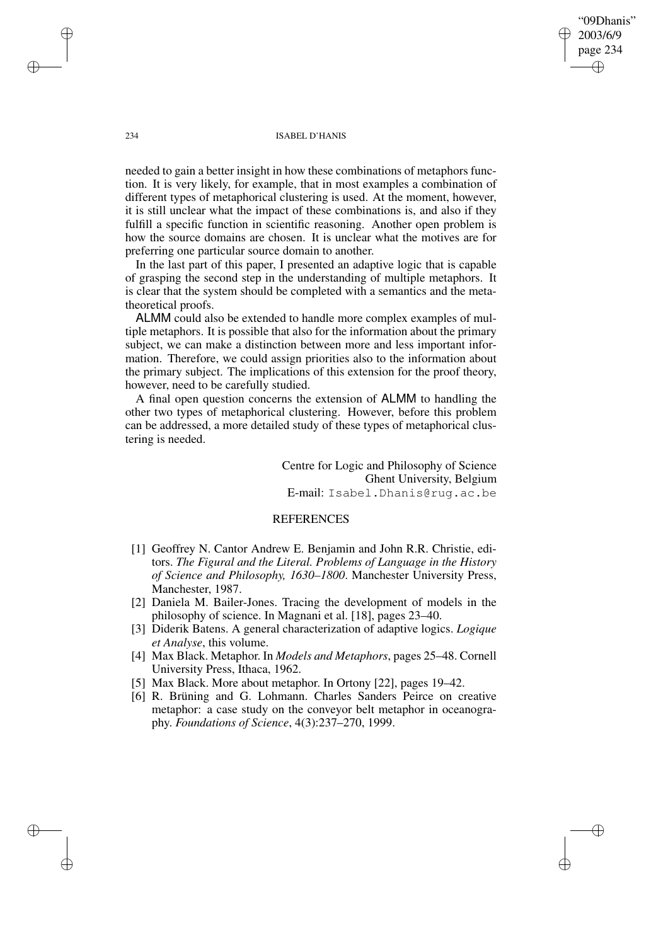234 ISABEL D'HANIS

needed to gain a better insight in how these combinations of metaphors function. It is very likely, for example, that in most examples a combination of different types of metaphorical clustering is used. At the moment, however, it is still unclear what the impact of these combinations is, and also if they fulfill a specific function in scientific reasoning. Another open problem is how the source domains are chosen. It is unclear what the motives are for preferring one particular source domain to another.

In the last part of this paper, I presented an adaptive logic that is capable of grasping the second step in the understanding of multiple metaphors. It is clear that the system should be completed with a semantics and the metatheoretical proofs.

ALMM could also be extended to handle more complex examples of multiple metaphors. It is possible that also for the information about the primary subject, we can make a distinction between more and less important information. Therefore, we could assign priorities also to the information about the primary subject. The implications of this extension for the proof theory, however, need to be carefully studied.

A final open question concerns the extension of ALMM to handling the other two types of metaphorical clustering. However, before this problem can be addressed, a more detailed study of these types of metaphorical clustering is needed.

> Centre for Logic and Philosophy of Science Ghent University, Belgium E-mail: Isabel.Dhanis@rug.ac.be

"09Dhanis" 2003/6/9 page 234

✐

✐

✐

✐

## REFERENCES

- [1] Geoffrey N. Cantor Andrew E. Benjamin and John R.R. Christie, editors. *The Figural and the Literal. Problems of Language in the History of Science and Philosophy, 1630–1800*. Manchester University Press, Manchester, 1987.
- [2] Daniela M. Bailer-Jones. Tracing the development of models in the philosophy of science. In Magnani et al. [18], pages 23–40.
- [3] Diderik Batens. A general characterization of adaptive logics. *Logique et Analyse*, this volume.
- [4] Max Black. Metaphor. In *Models and Metaphors*, pages 25–48. Cornell University Press, Ithaca, 1962.
- [5] Max Black. More about metaphor. In Ortony [22], pages 19–42.
- [6] R. Brüning and G. Lohmann. Charles Sanders Peirce on creative metaphor: a case study on the conveyor belt metaphor in oceanography. *Foundations of Science*, 4(3):237–270, 1999.

✐

✐

✐